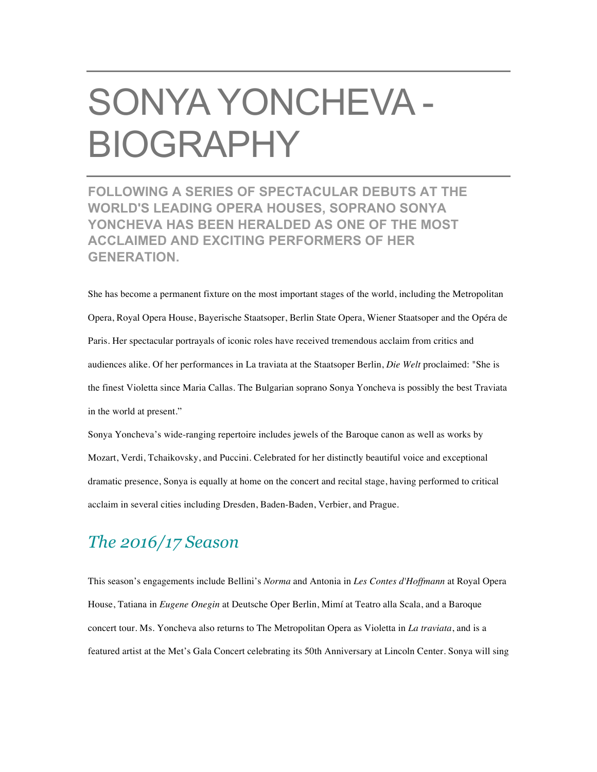## SONYA YONCHEVA - BIOGRAPHY

**FOLLOWING A SERIES OF SPECTACULAR DEBUTS AT THE WORLD'S LEADING OPERA HOUSES, SOPRANO SONYA YONCHEVA HAS BEEN HERALDED AS ONE OF THE MOST ACCLAIMED AND EXCITING PERFORMERS OF HER GENERATION.**

She has become a permanent fixture on the most important stages of the world, including the Metropolitan Opera, Royal Opera House, Bayerische Staatsoper, Berlin State Opera, Wiener Staatsoper and the Opéra de Paris. Her spectacular portrayals of iconic roles have received tremendous acclaim from critics and audiences alike. Of her performances in La traviata at the Staatsoper Berlin, *Die Welt* proclaimed: "She is the finest Violetta since Maria Callas. The Bulgarian soprano Sonya Yoncheva is possibly the best Traviata in the world at present."

Sonya Yoncheva's wide-ranging repertoire includes jewels of the Baroque canon as well as works by Mozart, Verdi, Tchaikovsky, and Puccini. Celebrated for her distinctly beautiful voice and exceptional dramatic presence, Sonya is equally at home on the concert and recital stage, having performed to critical acclaim in several cities including Dresden, Baden-Baden, Verbier, and Prague.

## *The 2016/17 Season*

This season's engagements include Bellini's *Norma* and Antonia in *Les Contes d'Hoffmann* at Royal Opera House, Tatiana in *Eugene Onegin* at Deutsche Oper Berlin, Mimí at Teatro alla Scala, and a Baroque concert tour. Ms. Yoncheva also returns to The Metropolitan Opera as Violetta in *La traviata*, and is a featured artist at the Met's Gala Concert celebrating its 50th Anniversary at Lincoln Center. Sonya will sing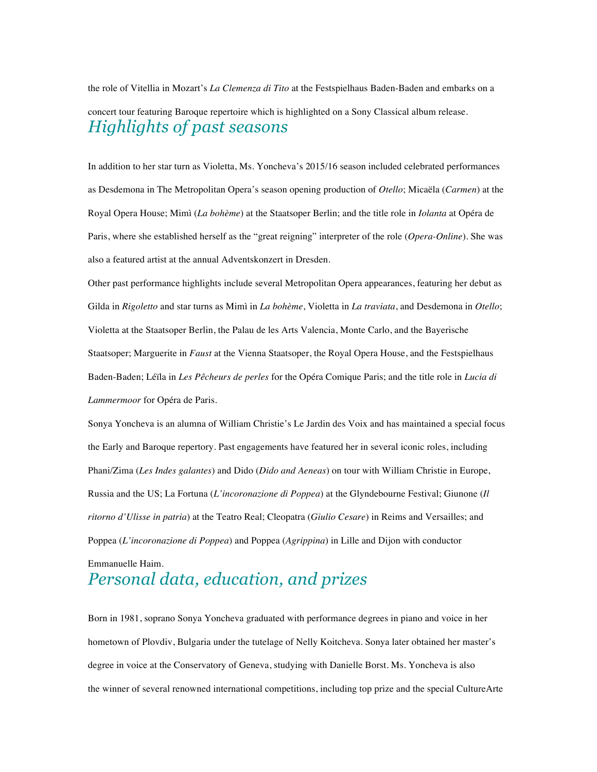the role of Vitellia in Mozart's *La Clemenza di Tito* at the Festspielhaus Baden-Baden and embarks on a concert tour featuring Baroque repertoire which is highlighted on a Sony Classical album release. *Highlights of past seasons*

In addition to her star turn as Violetta, Ms. Yoncheva's 2015/16 season included celebrated performances as Desdemona in The Metropolitan Opera's season opening production of *Otello*; Micaëla (*Carmen*) at the Royal Opera House; Mimì (*La bohème*) at the Staatsoper Berlin; and the title role in *Iolanta* at Opéra de Paris, where she established herself as the "great reigning" interpreter of the role (*Opera-Online*). She was also a featured artist at the annual Adventskonzert in Dresden.

Other past performance highlights include several Metropolitan Opera appearances, featuring her debut as Gilda in *Rigoletto* and star turns as Mimì in *La bohème*, Violetta in *La traviata*, and Desdemona in *Otello*; Violetta at the Staatsoper Berlin, the Palau de les Arts Valencia, Monte Carlo, and the Bayerische Staatsoper; Marguerite in *Faust* at the Vienna Staatsoper, the Royal Opera House, and the Festspielhaus Baden-Baden; Léïla in *Les Pêcheurs de perles* for the Opéra Comique Paris; and the title role in *Lucia di Lammermoor* for Opéra de Paris.

Sonya Yoncheva is an alumna of William Christie's Le Jardin des Voix and has maintained a special focus the Early and Baroque repertory. Past engagements have featured her in several iconic roles, including Phani/Zima (*Les Indes galantes*) and Dido (*Dido and Aeneas*) on tour with William Christie in Europe, Russia and the US; La Fortuna (*L'incoronazione di Poppea*) at the Glyndebourne Festival; Giunone (*Il ritorno d'Ulisse in patria*) at the Teatro Real; Cleopatra (*Giulio Cesare*) in Reims and Versailles; and Poppea (*L'incoronazione di Poppea*) and Poppea (*Agrippina*) in Lille and Dijon with conductor

## Emmanuelle Haim. *Personal data, education, and prizes*

Born in 1981, soprano Sonya Yoncheva graduated with performance degrees in piano and voice in her hometown of Plovdiv, Bulgaria under the tutelage of Nelly Koitcheva. Sonya later obtained her master's degree in voice at the Conservatory of Geneva, studying with Danielle Borst. Ms. Yoncheva is also the winner of several renowned international competitions, including top prize and the special CultureArte